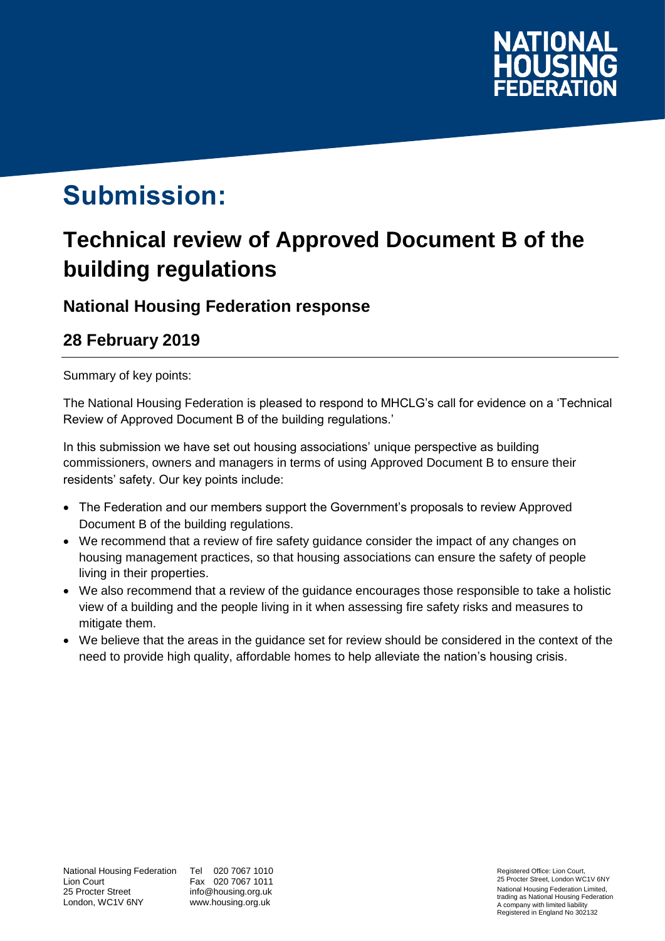

# **Submission:**

## **Technical review of Approved Document B of the building regulations**

### **National Housing Federation response**

## **28 February 2019**

Summary of key points:

The National Housing Federation is pleased to respond to MHCLG's call for evidence on a 'Technical Review of Approved Document B of the building regulations.'

In this submission we have set out housing associations' unique perspective as building commissioners, owners and managers in terms of using Approved Document B to ensure their residents' safety. Our key points include:

- The Federation and our members support the Government's proposals to review Approved Document B of the building regulations.
- We recommend that a review of fire safety guidance consider the impact of any changes on housing management practices, so that housing associations can ensure the safety of people living in their properties.
- We also recommend that a review of the guidance encourages those responsible to take a holistic view of a building and the people living in it when assessing fire safety risks and measures to mitigate them.
- We believe that the areas in the guidance set for review should be considered in the context of the need to provide high quality, affordable homes to help alleviate the nation's housing crisis.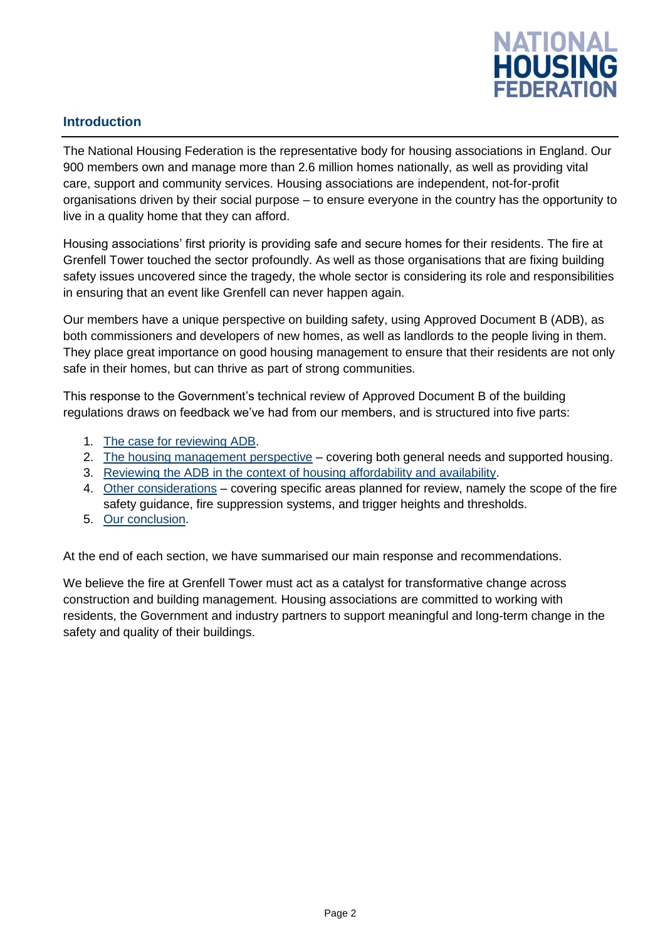

#### **Introduction**

The National Housing Federation is the representative body for housing associations in England. Our 900 members own and manage more than 2.6 million homes nationally, as well as providing vital care, support and community services. Housing associations are independent, not-for-profit organisations driven by their social purpose – to ensure everyone in the country has the opportunity to live in a quality home that they can afford.

Housing associations' first priority is providing safe and secure homes for their residents. The fire at Grenfell Tower touched the sector profoundly. As well as those organisations that are fixing building safety issues uncovered since the tragedy, the whole sector is considering its role and responsibilities in ensuring that an event like Grenfell can never happen again.

Our members have a unique perspective on building safety, using Approved Document B (ADB), as both commissioners and developers of new homes, as well as landlords to the people living in them. They place great importance on good housing management to ensure that their residents are not only safe in their homes, but can thrive as part of strong communities.

This response to the Government's technical review of Approved Document B of the building regulations draws on feedback we've had from our members, and is structured into five parts:

- 1. [The case for reviewing ADB](#page-2-0).
- 2. The [housing management perspective](#page-3-0) covering both general needs and supported housing.
- 3. Reviewing the ADB [in the context of housing affordability and availability.](#page-4-0)
- 4. [Other considerations](#page-6-0) covering specific areas planned for review, namely the scope of the fire safety guidance, fire suppression systems, and trigger heights and thresholds.
- 5. [Our conclusion.](#page-9-0)

At the end of each section, we have summarised our main response and recommendations.

We believe the fire at Grenfell Tower must act as a catalyst for transformative change across construction and building management. Housing associations are committed to working with residents, the Government and industry partners to support meaningful and long-term change in the safety and quality of their buildings.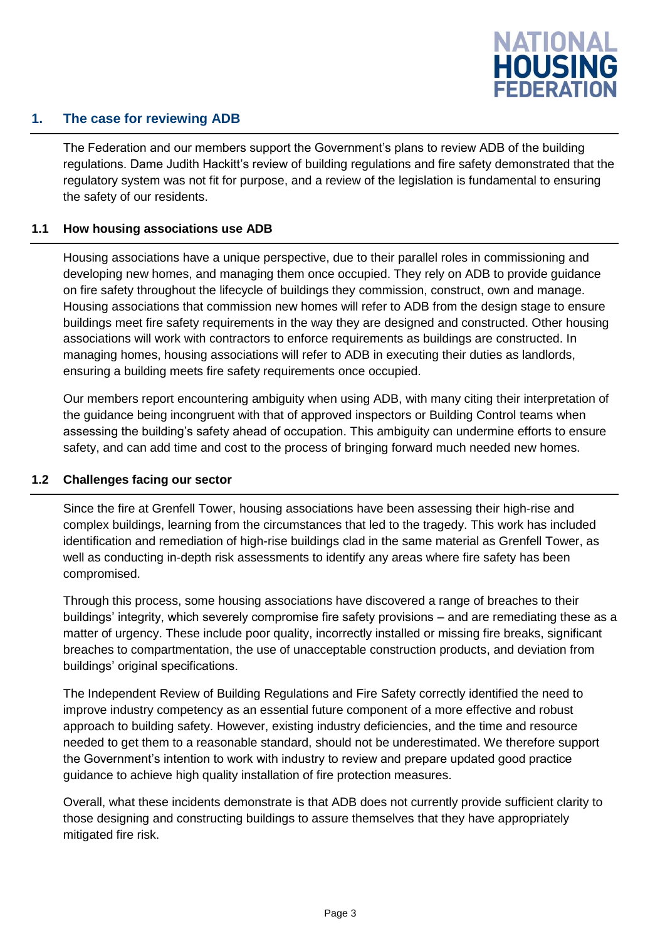

#### <span id="page-2-0"></span>**1. The case for reviewing ADB**

The Federation and our members support the Government's plans to review ADB of the building regulations. Dame Judith Hackitt's review of building regulations and fire safety demonstrated that the regulatory system was not fit for purpose, and a review of the legislation is fundamental to ensuring the safety of our residents.

#### **1.1 How housing associations use ADB**

Housing associations have a unique perspective, due to their parallel roles in commissioning and developing new homes, and managing them once occupied. They rely on ADB to provide guidance on fire safety throughout the lifecycle of buildings they commission, construct, own and manage. Housing associations that commission new homes will refer to ADB from the design stage to ensure buildings meet fire safety requirements in the way they are designed and constructed. Other housing associations will work with contractors to enforce requirements as buildings are constructed. In managing homes, housing associations will refer to ADB in executing their duties as landlords, ensuring a building meets fire safety requirements once occupied.

Our members report encountering ambiguity when using ADB, with many citing their interpretation of the guidance being incongruent with that of approved inspectors or Building Control teams when assessing the building's safety ahead of occupation. This ambiguity can undermine efforts to ensure safety, and can add time and cost to the process of bringing forward much needed new homes.

#### **1.2 Challenges facing our sector**

Since the fire at Grenfell Tower, housing associations have been assessing their high-rise and complex buildings, learning from the circumstances that led to the tragedy. This work has included identification and remediation of high-rise buildings clad in the same material as Grenfell Tower, as well as conducting in-depth risk assessments to identify any areas where fire safety has been compromised.

Through this process, some housing associations have discovered a range of breaches to their buildings' integrity, which severely compromise fire safety provisions – and are remediating these as a matter of urgency. These include poor quality, incorrectly installed or missing fire breaks, significant breaches to compartmentation, the use of unacceptable construction products, and deviation from buildings' original specifications.

The Independent Review of Building Regulations and Fire Safety correctly identified the need to improve industry competency as an essential future component of a more effective and robust approach to building safety. However, existing industry deficiencies, and the time and resource needed to get them to a reasonable standard, should not be underestimated. We therefore support the Government's intention to work with industry to review and prepare updated good practice guidance to achieve high quality installation of fire protection measures.

Overall, what these incidents demonstrate is that ADB does not currently provide sufficient clarity to those designing and constructing buildings to assure themselves that they have appropriately mitigated fire risk.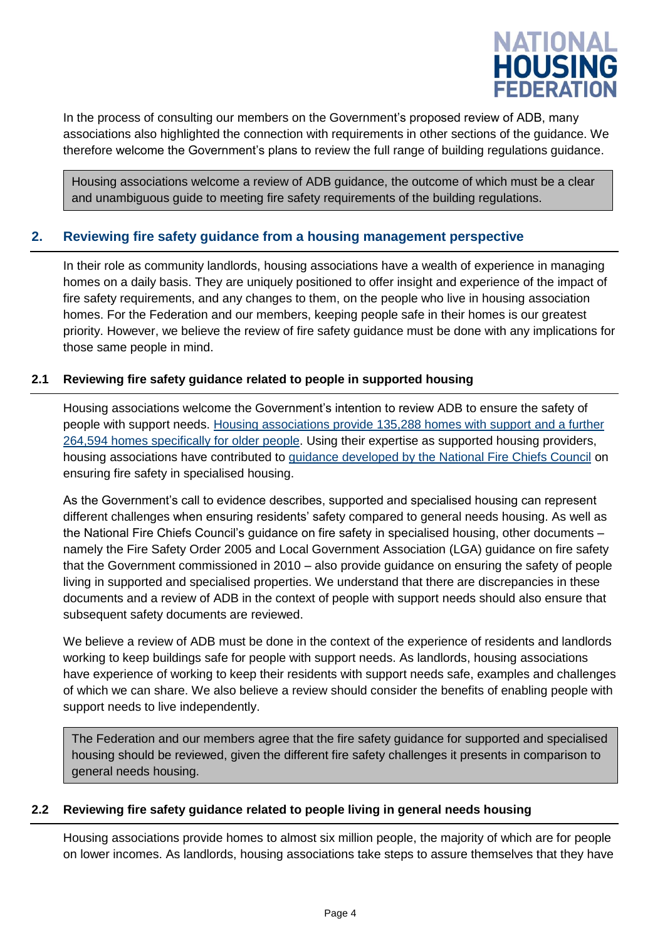

In the process of consulting our members on the Government's proposed review of ADB, many associations also highlighted the connection with requirements in other sections of the guidance. We therefore welcome the Government's plans to review the full range of building regulations guidance.

Housing associations welcome a review of ADB guidance, the outcome of which must be a clear and unambiguous guide to meeting fire safety requirements of the building regulations.

#### <span id="page-3-0"></span>**2. Reviewing fire safety guidance from a housing management perspective**

In their role as community landlords, housing associations have a wealth of experience in managing homes on a daily basis. They are uniquely positioned to offer insight and experience of the impact of fire safety requirements, and any changes to them, on the people who live in housing association homes. For the Federation and our members, keeping people safe in their homes is our greatest priority. However, we believe the review of fire safety guidance must be done with any implications for those same people in mind.

#### **2.1 Reviewing fire safety guidance related to people in supported housing**

Housing associations welcome the Government's intention to review ADB to ensure the safety of people with support needs. [Housing associations provide 135,288](https://assets.publishing.service.gov.uk/government/uploads/system/uploads/attachment_data/file/766713/SDR_Statistical_Release_2018_Full_v1.2.pdf) homes with support and a further [264,594 homes specifically](https://assets.publishing.service.gov.uk/government/uploads/system/uploads/attachment_data/file/766713/SDR_Statistical_Release_2018_Full_v1.2.pdf) for older people. Using their expertise as supported housing providers, housing associations have contributed to [guidance developed by the National Fire Chiefs Council](http://www.nationalfirechiefs.org.uk/write/MediaUploads/NFCC%20Guidance%20publications/NFCC_Specialised_Housing_Guidance_-_Copy.pdf) on ensuring fire safety in specialised housing.

As the Government's call to evidence describes, supported and specialised housing can represent different challenges when ensuring residents' safety compared to general needs housing. As well as the National Fire Chiefs Council's guidance on fire safety in specialised housing, other documents – namely the Fire Safety Order 2005 and Local Government Association (LGA) guidance on fire safety that the Government commissioned in 2010 – also provide guidance on ensuring the safety of people living in supported and specialised properties. We understand that there are discrepancies in these documents and a review of ADB in the context of people with support needs should also ensure that subsequent safety documents are reviewed.

We believe a review of ADB must be done in the context of the experience of residents and landlords working to keep buildings safe for people with support needs. As landlords, housing associations have experience of working to keep their residents with support needs safe, examples and challenges of which we can share. We also believe a review should consider the benefits of enabling people with support needs to live independently.

The Federation and our members agree that the fire safety guidance for supported and specialised housing should be reviewed, given the different fire safety challenges it presents in comparison to general needs housing.

#### **2.2 Reviewing fire safety guidance related to people living in general needs housing**

Housing associations provide homes to almost six million people, the majority of which are for people on lower incomes. As landlords, housing associations take steps to assure themselves that they have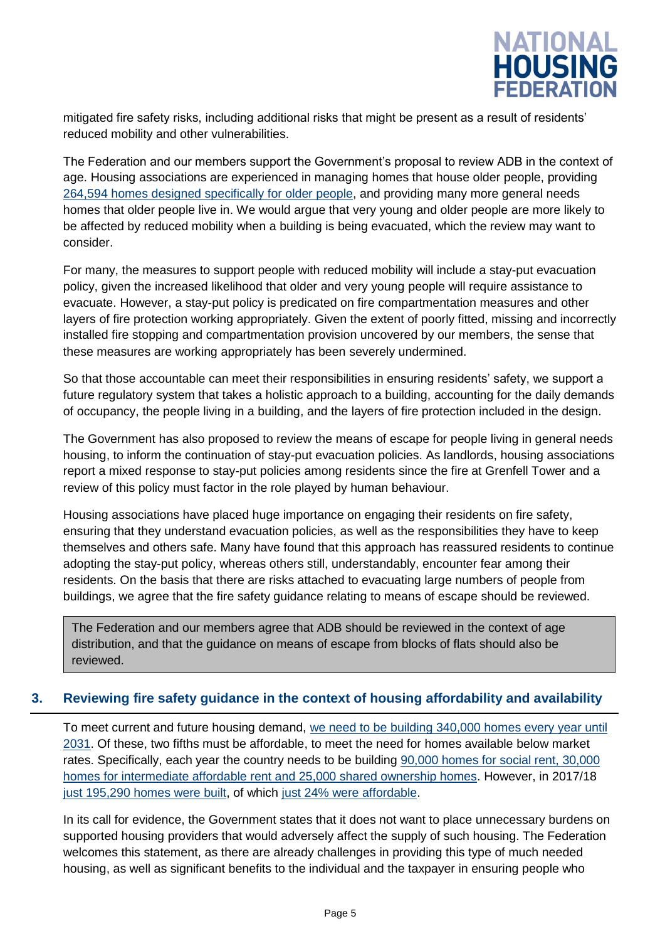

mitigated fire safety risks, including additional risks that might be present as a result of residents' reduced mobility and other vulnerabilities.

The Federation and our members support the Government's proposal to review ADB in the context of age. Housing associations are experienced in managing homes that house older people, providing [264,594 homes designed specifically for older people,](https://assets.publishing.service.gov.uk/government/uploads/system/uploads/attachment_data/file/766713/SDR_Statistical_Release_2018_Full_v1.2.pdf) and providing many more general needs homes that older people live in. We would argue that very young and older people are more likely to be affected by reduced mobility when a building is being evacuated, which the review may want to consider.

For many, the measures to support people with reduced mobility will include a stay-put evacuation policy, given the increased likelihood that older and very young people will require assistance to evacuate. However, a stay-put policy is predicated on fire compartmentation measures and other layers of fire protection working appropriately. Given the extent of poorly fitted, missing and incorrectly installed fire stopping and compartmentation provision uncovered by our members, the sense that these measures are working appropriately has been severely undermined.

So that those accountable can meet their responsibilities in ensuring residents' safety, we support a future regulatory system that takes a holistic approach to a building, accounting for the daily demands of occupancy, the people living in a building, and the layers of fire protection included in the design.

The Government has also proposed to review the means of escape for people living in general needs housing, to inform the continuation of stay-put evacuation policies. As landlords, housing associations report a mixed response to stay-put policies among residents since the fire at Grenfell Tower and a review of this policy must factor in the role played by human behaviour.

Housing associations have placed huge importance on engaging their residents on fire safety, ensuring that they understand evacuation policies, as well as the responsibilities they have to keep themselves and others safe. Many have found that this approach has reassured residents to continue adopting the stay-put policy, whereas others still, understandably, encounter fear among their residents. On the basis that there are risks attached to evacuating large numbers of people from buildings, we agree that the fire safety guidance relating to means of escape should be reviewed.

The Federation and our members agree that ADB should be reviewed in the context of age distribution, and that the guidance on means of escape from blocks of flats should also be reviewed.

#### <span id="page-4-0"></span>**3. Reviewing fire safety guidance in the context of housing affordability and availability**

To meet current and future housing demand, [we need to be building 340,000 homes every year until](http://www.cchpr.landecon.cam.ac.uk/Downloads/HousingDemandNeed_TCPA2013.pdf)  [2031.](http://www.cchpr.landecon.cam.ac.uk/Downloads/HousingDemandNeed_TCPA2013.pdf) Of these, two fifths must be affordable, to meet the need for homes available below market rates. Specifically, each year the country needs to be building [90,000 homes for social rent, 30,000](http://www.cchpr.landecon.cam.ac.uk/Downloads/HousingDemandNeed_TCPA2013.pdf)  [homes for intermediate affordable rent and 25,000 shared ownership homes.](http://www.cchpr.landecon.cam.ac.uk/Downloads/HousingDemandNeed_TCPA2013.pdf) However, in 2017/18 [just 195,290 homes were built,](https://assets.publishing.service.gov.uk/government/uploads/system/uploads/attachment_data/file/756430/Housing_Supply_England_2017-18.pdf) of which [just 24% were affordable.](https://assets.publishing.service.gov.uk/government/uploads/system/uploads/attachment_data/file/758389/Affordable_Housing_Supply_2017-18.pdf)

In its call for evidence, the Government states that it does not want to place unnecessary burdens on supported housing providers that would adversely affect the supply of such housing. The Federation welcomes this statement, as there are already challenges in providing this type of much needed housing, as well as significant benefits to the individual and the taxpayer in ensuring people who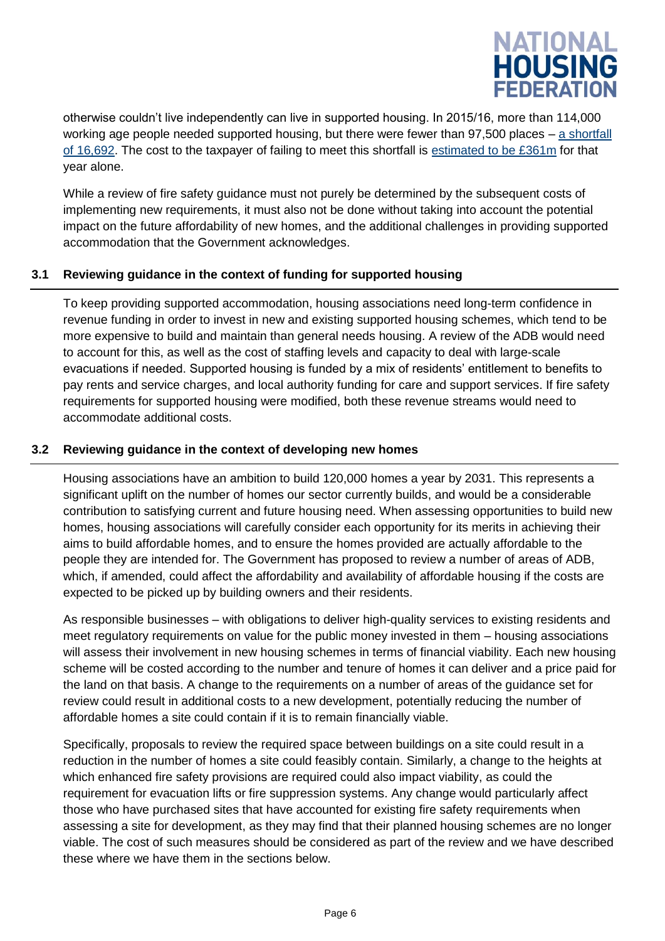

otherwise couldn't live independently can live in supported housing. In 2015/16, more than 114,000 working age people needed supported housing, but there were fewer than 97,500 places – [a shortfall](http://s3-eu-west-1.amazonaws.com/pub.housing.org.uk/Sitra_Strengthening_the_Case_for_Supported_Housing_(2017)_Full_Report.pdf)  [of 16,692.](http://s3-eu-west-1.amazonaws.com/pub.housing.org.uk/Sitra_Strengthening_the_Case_for_Supported_Housing_(2017)_Full_Report.pdf) The cost to the taxpayer of failing to meet this shortfall is [estimated to be £361m](http://s3-eu-west-1.amazonaws.com/pub.housing.org.uk/Sitra_Strengthening_the_Case_for_Supported_Housing_(2017)_Full_Report.pdf) for that year alone.

While a review of fire safety guidance must not purely be determined by the subsequent costs of implementing new requirements, it must also not be done without taking into account the potential impact on the future affordability of new homes, and the additional challenges in providing supported accommodation that the Government acknowledges.

#### **3.1 Reviewing guidance in the context of funding for supported housing**

To keep providing supported accommodation, housing associations need long-term confidence in revenue funding in order to invest in new and existing supported housing schemes, which tend to be more expensive to build and maintain than general needs housing. A review of the ADB would need to account for this, as well as the cost of staffing levels and capacity to deal with large-scale evacuations if needed. Supported housing is funded by a mix of residents' entitlement to benefits to pay rents and service charges, and local authority funding for care and support services. If fire safety requirements for supported housing were modified, both these revenue streams would need to accommodate additional costs.

#### **3.2 Reviewing guidance in the context of developing new homes**

Housing associations have an ambition to build 120,000 homes a year by 2031. This represents a significant uplift on the number of homes our sector currently builds, and would be a considerable contribution to satisfying current and future housing need. When assessing opportunities to build new homes, housing associations will carefully consider each opportunity for its merits in achieving their aims to build affordable homes, and to ensure the homes provided are actually affordable to the people they are intended for. The Government has proposed to review a number of areas of ADB, which, if amended, could affect the affordability and availability of affordable housing if the costs are expected to be picked up by building owners and their residents.

As responsible businesses – with obligations to deliver high-quality services to existing residents and meet regulatory requirements on value for the public money invested in them – housing associations will assess their involvement in new housing schemes in terms of financial viability. Each new housing scheme will be costed according to the number and tenure of homes it can deliver and a price paid for the land on that basis. A change to the requirements on a number of areas of the guidance set for review could result in additional costs to a new development, potentially reducing the number of affordable homes a site could contain if it is to remain financially viable.

Specifically, proposals to review the required space between buildings on a site could result in a reduction in the number of homes a site could feasibly contain. Similarly, a change to the heights at which enhanced fire safety provisions are required could also impact viability, as could the requirement for evacuation lifts or fire suppression systems. Any change would particularly affect those who have purchased sites that have accounted for existing fire safety requirements when assessing a site for development, as they may find that their planned housing schemes are no longer viable. The cost of such measures should be considered as part of the review and we have described these where we have them in the sections below.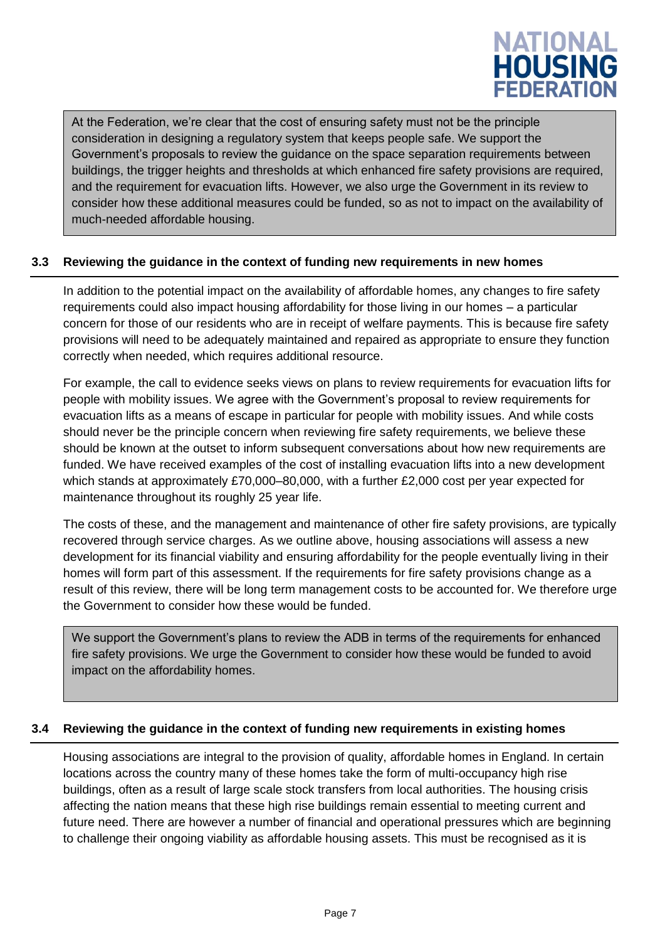

At the Federation, we're clear that the cost of ensuring safety must not be the principle consideration in designing a regulatory system that keeps people safe. We support the Government's proposals to review the guidance on the space separation requirements between buildings, the trigger heights and thresholds at which enhanced fire safety provisions are required, and the requirement for evacuation lifts. However, we also urge the Government in its review to consider how these additional measures could be funded, so as not to impact on the availability of much-needed affordable housing.

#### **3.3 Reviewing the guidance in the context of funding new requirements in new homes**

In addition to the potential impact on the availability of affordable homes, any changes to fire safety requirements could also impact housing affordability for those living in our homes – a particular concern for those of our residents who are in receipt of welfare payments. This is because fire safety provisions will need to be adequately maintained and repaired as appropriate to ensure they function correctly when needed, which requires additional resource.

For example, the call to evidence seeks views on plans to review requirements for evacuation lifts for people with mobility issues. We agree with the Government's proposal to review requirements for evacuation lifts as a means of escape in particular for people with mobility issues. And while costs should never be the principle concern when reviewing fire safety requirements, we believe these should be known at the outset to inform subsequent conversations about how new requirements are funded. We have received examples of the cost of installing evacuation lifts into a new development which stands at approximately £70,000–80,000, with a further £2,000 cost per year expected for maintenance throughout its roughly 25 year life.

The costs of these, and the management and maintenance of other fire safety provisions, are typically recovered through service charges. As we outline above, housing associations will assess a new development for its financial viability and ensuring affordability for the people eventually living in their homes will form part of this assessment. If the requirements for fire safety provisions change as a result of this review, there will be long term management costs to be accounted for. We therefore urge the Government to consider how these would be funded.

<span id="page-6-0"></span>We support the Government's plans to review the ADB in terms of the requirements for enhanced fire safety provisions. We urge the Government to consider how these would be funded to avoid impact on the affordability homes.

#### **3.4 Reviewing the guidance in the context of funding new requirements in existing homes**

Housing associations are integral to the provision of quality, affordable homes in England. In certain locations across the country many of these homes take the form of multi-occupancy high rise buildings, often as a result of large scale stock transfers from local authorities. The housing crisis affecting the nation means that these high rise buildings remain essential to meeting current and future need. There are however a number of financial and operational pressures which are beginning to challenge their ongoing viability as affordable housing assets. This must be recognised as it is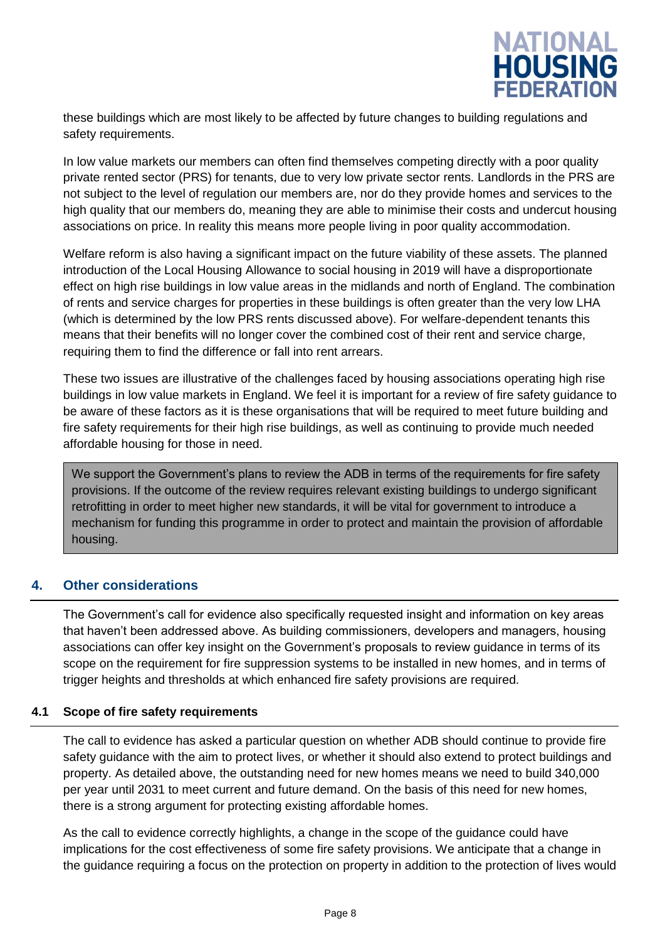

these buildings which are most likely to be affected by future changes to building regulations and safety requirements.

In low value markets our members can often find themselves competing directly with a poor quality private rented sector (PRS) for tenants, due to very low private sector rents. Landlords in the PRS are not subject to the level of regulation our members are, nor do they provide homes and services to the high quality that our members do, meaning they are able to minimise their costs and undercut housing associations on price. In reality this means more people living in poor quality accommodation.

Welfare reform is also having a significant impact on the future viability of these assets. The planned introduction of the Local Housing Allowance to social housing in 2019 will have a disproportionate effect on high rise buildings in low value areas in the midlands and north of England. The combination of rents and service charges for properties in these buildings is often greater than the very low LHA (which is determined by the low PRS rents discussed above). For welfare-dependent tenants this means that their benefits will no longer cover the combined cost of their rent and service charge, requiring them to find the difference or fall into rent arrears.

These two issues are illustrative of the challenges faced by housing associations operating high rise buildings in low value markets in England. We feel it is important for a review of fire safety guidance to be aware of these factors as it is these organisations that will be required to meet future building and fire safety requirements for their high rise buildings, as well as continuing to provide much needed affordable housing for those in need.

We support the Government's plans to review the ADB in terms of the requirements for fire safety provisions. If the outcome of the review requires relevant existing buildings to undergo significant retrofitting in order to meet higher new standards, it will be vital for government to introduce a mechanism for funding this programme in order to protect and maintain the provision of affordable housing.

#### **4. Other considerations**

The Government's call for evidence also specifically requested insight and information on key areas that haven't been addressed above. As building commissioners, developers and managers, housing associations can offer key insight on the Government's proposals to review guidance in terms of its scope on the requirement for fire suppression systems to be installed in new homes, and in terms of trigger heights and thresholds at which enhanced fire safety provisions are required.

#### **4.1 Scope of fire safety requirements**

The call to evidence has asked a particular question on whether ADB should continue to provide fire safety guidance with the aim to protect lives, or whether it should also extend to protect buildings and property. As detailed above, the outstanding need for new homes means we need to build 340,000 per year until 2031 to meet current and future demand. On the basis of this need for new homes, there is a strong argument for protecting existing affordable homes.

As the call to evidence correctly highlights, a change in the scope of the guidance could have implications for the cost effectiveness of some fire safety provisions. We anticipate that a change in the guidance requiring a focus on the protection on property in addition to the protection of lives would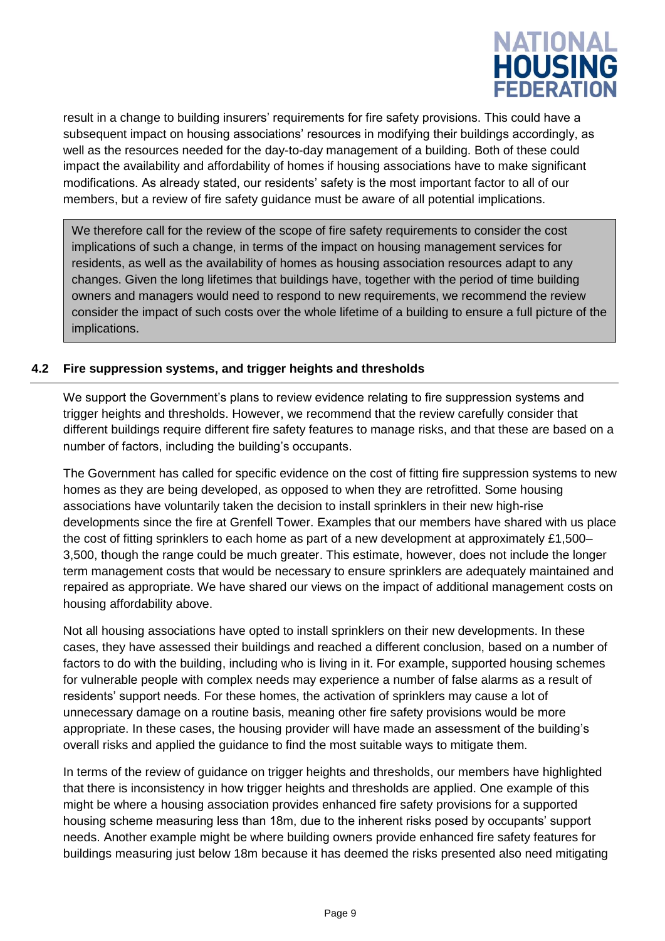

result in a change to building insurers' requirements for fire safety provisions. This could have a subsequent impact on housing associations' resources in modifying their buildings accordingly, as well as the resources needed for the day-to-day management of a building. Both of these could impact the availability and affordability of homes if housing associations have to make significant modifications. As already stated, our residents' safety is the most important factor to all of our members, but a review of fire safety guidance must be aware of all potential implications.

We therefore call for the review of the scope of fire safety requirements to consider the cost implications of such a change, in terms of the impact on housing management services for residents, as well as the availability of homes as housing association resources adapt to any changes. Given the long lifetimes that buildings have, together with the period of time building owners and managers would need to respond to new requirements, we recommend the review consider the impact of such costs over the whole lifetime of a building to ensure a full picture of the implications.

#### **4.2 Fire suppression systems, and trigger heights and thresholds**

We support the Government's plans to review evidence relating to fire suppression systems and trigger heights and thresholds. However, we recommend that the review carefully consider that different buildings require different fire safety features to manage risks, and that these are based on a number of factors, including the building's occupants.

The Government has called for specific evidence on the cost of fitting fire suppression systems to new homes as they are being developed, as opposed to when they are retrofitted. Some housing associations have voluntarily taken the decision to install sprinklers in their new high-rise developments since the fire at Grenfell Tower. Examples that our members have shared with us place the cost of fitting sprinklers to each home as part of a new development at approximately £1,500– 3,500, though the range could be much greater. This estimate, however, does not include the longer term management costs that would be necessary to ensure sprinklers are adequately maintained and repaired as appropriate. We have shared our views on the impact of additional management costs on housing affordability above.

Not all housing associations have opted to install sprinklers on their new developments. In these cases, they have assessed their buildings and reached a different conclusion, based on a number of factors to do with the building, including who is living in it. For example, supported housing schemes for vulnerable people with complex needs may experience a number of false alarms as a result of residents' support needs. For these homes, the activation of sprinklers may cause a lot of unnecessary damage on a routine basis, meaning other fire safety provisions would be more appropriate. In these cases, the housing provider will have made an assessment of the building's overall risks and applied the guidance to find the most suitable ways to mitigate them.

In terms of the review of guidance on trigger heights and thresholds, our members have highlighted that there is inconsistency in how trigger heights and thresholds are applied. One example of this might be where a housing association provides enhanced fire safety provisions for a supported housing scheme measuring less than 18m, due to the inherent risks posed by occupants' support needs. Another example might be where building owners provide enhanced fire safety features for buildings measuring just below 18m because it has deemed the risks presented also need mitigating